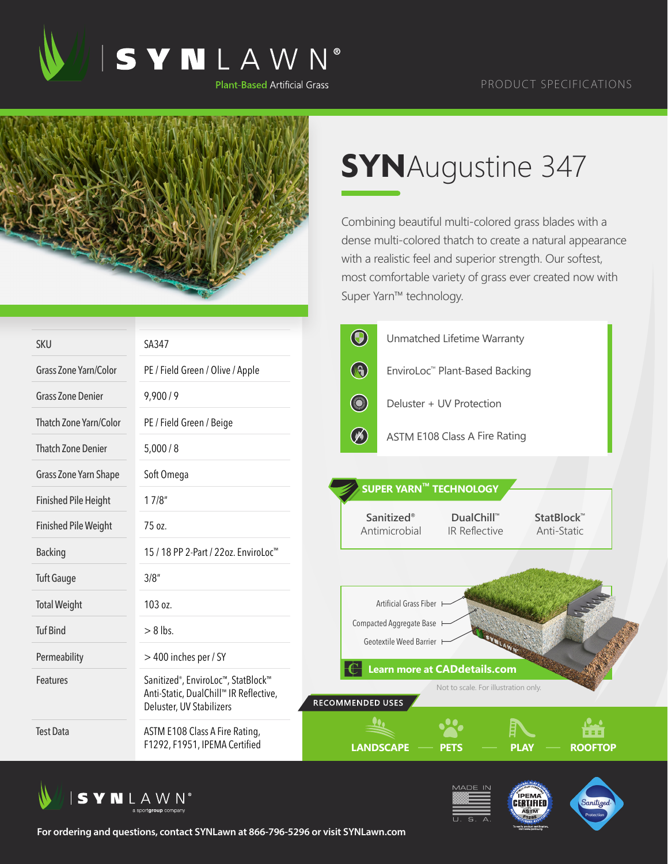



## **SYN**Augustine 347

Combining beautiful multi-colored grass blades with a dense multi-colored thatch to create a natural appearance with a realistic feel and superior strength. Our softest, most comfortable variety of grass ever created now with Super Yarn™ technology.

| <b>SKU</b>                  | SA347                                                                                                                 | $\bigcirc$<br>Unmatched Lifetime Warranty                                                      |
|-----------------------------|-----------------------------------------------------------------------------------------------------------------------|------------------------------------------------------------------------------------------------|
| Grass Zone Yarn/Color       | PE / Field Green / Olive / Apple                                                                                      | $\bigcirc$<br>EnviroLoc™ Plant-Based Backing                                                   |
| <b>Grass Zone Denier</b>    | 9,900/9                                                                                                               | <b>Company</b><br>Deluster + UV Protection                                                     |
| Thatch Zone Yarn/Color      | PE / Field Green / Beige                                                                                              |                                                                                                |
| <b>Thatch Zone Denier</b>   | 5,000/8                                                                                                               | $\circledast$<br>ASTM E108 Class A Fire Rating                                                 |
| Grass Zone Yarn Shape       | Soft Omega                                                                                                            |                                                                                                |
| <b>Finished Pile Height</b> | 17/8"                                                                                                                 | SUPER YARN™ TECHNOLOGY                                                                         |
| <b>Finished Pile Weight</b> | 75 oz.                                                                                                                | Sanitized®<br><b>DualChill™</b><br>StatBlock™<br>Antimicrobial<br>IR Reflective<br>Anti-Static |
| <b>Backing</b>              | 15 / 18 PP 2-Part / 22oz. EnviroLoc <sup>™</sup>                                                                      |                                                                                                |
| <b>Tuft Gauge</b>           | 3/8''                                                                                                                 |                                                                                                |
| <b>Total Weight</b>         | 103 oz.                                                                                                               | Artificial Grass Fiber                                                                         |
| <b>Tuf Bind</b>             | $> 8$ lbs.                                                                                                            | Compacted Aggregate Base<br>Geotextile Weed Barrier                                            |
| Permeability                | > 400 inches per / SY                                                                                                 | Learn more at CADdetails.com                                                                   |
| Features                    | Sanitized <sup>®</sup> , EnviroLoc™, StatBlock™<br>Anti-Static, DualChill™ IR Reflective,<br>Deluster, UV Stabilizers | Not to scale. For illustration only.<br><b>RECOMMENDED USES</b>                                |
| <b>Test Data</b>            | ASTM E108 Class A Fire Rating,<br>F1292, F1951, IPEMA Certified                                                       | .<br><b>LANDSCAPE</b><br><b>ROOFTOP</b><br>PLAY                                                |







**For ordering and questions, contact SYNLawn at 866-796-5296 or visit SYNLawn.com**